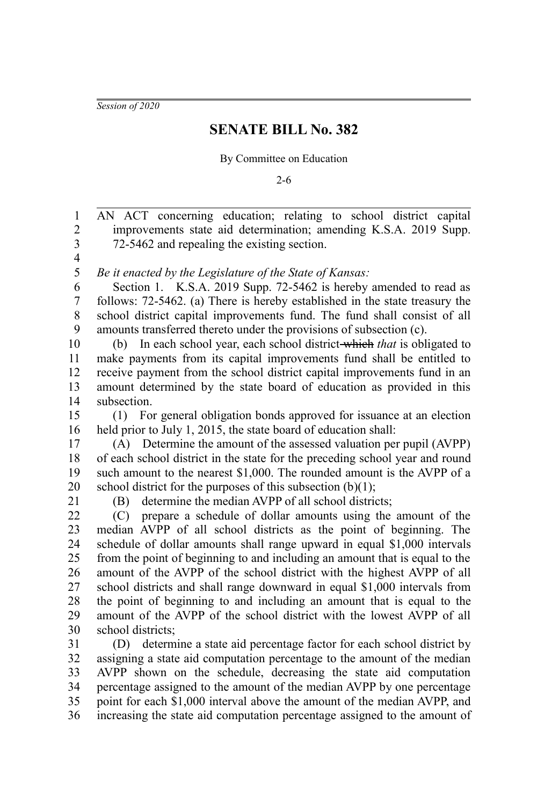*Session of 2020*

## **SENATE BILL No. 382**

## By Committee on Education

2-6

AN ACT concerning education; relating to school district capital improvements state aid determination; amending K.S.A. 2019 Supp. 72-5462 and repealing the existing section. *Be it enacted by the Legislature of the State of Kansas:* Section 1. K.S.A. 2019 Supp. 72-5462 is hereby amended to read as follows: 72-5462. (a) There is hereby established in the state treasury the school district capital improvements fund. The fund shall consist of all amounts transferred thereto under the provisions of subsection (c). (b) In each school year, each school district which *that* is obligated to make payments from its capital improvements fund shall be entitled to receive payment from the school district capital improvements fund in an amount determined by the state board of education as provided in this subsection. (1) For general obligation bonds approved for issuance at an election held prior to July 1, 2015, the state board of education shall: (A) Determine the amount of the assessed valuation per pupil (AVPP) of each school district in the state for the preceding school year and round such amount to the nearest \$1,000. The rounded amount is the AVPP of a school district for the purposes of this subsection  $(b)(1)$ ; (B) determine the median AVPP of all school districts; (C) prepare a schedule of dollar amounts using the amount of the median AVPP of all school districts as the point of beginning. The schedule of dollar amounts shall range upward in equal \$1,000 intervals from the point of beginning to and including an amount that is equal to the amount of the AVPP of the school district with the highest AVPP of all school districts and shall range downward in equal \$1,000 intervals from the point of beginning to and including an amount that is equal to the amount of the AVPP of the school district with the lowest AVPP of all school districts; (D) determine a state aid percentage factor for each school district by assigning a state aid computation percentage to the amount of the median AVPP shown on the schedule, decreasing the state aid computation percentage assigned to the amount of the median AVPP by one percentage point for each \$1,000 interval above the amount of the median AVPP, and 1 2 3 4 5 6 7 8 9 10 11 12 13 14 15 16 17 18 19 20 21 22 23 24 25 26 27 28 29 30 31 32 33 34 35

increasing the state aid computation percentage assigned to the amount of 36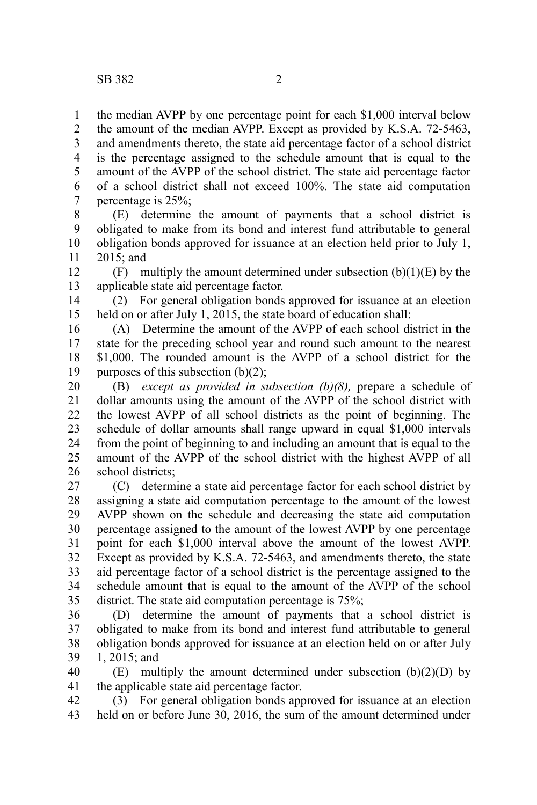the median AVPP by one percentage point for each \$1,000 interval below the amount of the median AVPP. Except as provided by K.S.A. 72-5463, and amendments thereto, the state aid percentage factor of a school district is the percentage assigned to the schedule amount that is equal to the amount of the AVPP of the school district. The state aid percentage factor of a school district shall not exceed 100%. The state aid computation percentage is 25%; 1 2 3 4 5 6 7

(E) determine the amount of payments that a school district is obligated to make from its bond and interest fund attributable to general obligation bonds approved for issuance at an election held prior to July 1, 2015; and 8 9 10 11

(F) multiply the amount determined under subsection  $(b)(1)(E)$  by the applicable state aid percentage factor. 12 13

(2) For general obligation bonds approved for issuance at an election held on or after July 1, 2015, the state board of education shall: 14 15

(A) Determine the amount of the AVPP of each school district in the state for the preceding school year and round such amount to the nearest \$1,000. The rounded amount is the AVPP of a school district for the purposes of this subsection  $(b)(2)$ ; 16 17 18 19

(B) *except as provided in subsection (b)(8),* prepare a schedule of dollar amounts using the amount of the AVPP of the school district with the lowest AVPP of all school districts as the point of beginning. The schedule of dollar amounts shall range upward in equal \$1,000 intervals from the point of beginning to and including an amount that is equal to the amount of the AVPP of the school district with the highest AVPP of all school districts; 20 21 22 23 24 25 26

(C) determine a state aid percentage factor for each school district by assigning a state aid computation percentage to the amount of the lowest AVPP shown on the schedule and decreasing the state aid computation percentage assigned to the amount of the lowest AVPP by one percentage point for each \$1,000 interval above the amount of the lowest AVPP. Except as provided by K.S.A. 72-5463, and amendments thereto, the state aid percentage factor of a school district is the percentage assigned to the schedule amount that is equal to the amount of the AVPP of the school district. The state aid computation percentage is 75%; 27 28 29 30 31 32 33 34 35

(D) determine the amount of payments that a school district is obligated to make from its bond and interest fund attributable to general obligation bonds approved for issuance at an election held on or after July 1, 2015; and 36 37 38 39

(E) multiply the amount determined under subsection  $(b)(2)(D)$  by the applicable state aid percentage factor. 40 41

(3) For general obligation bonds approved for issuance at an election held on or before June 30, 2016, the sum of the amount determined under 42 43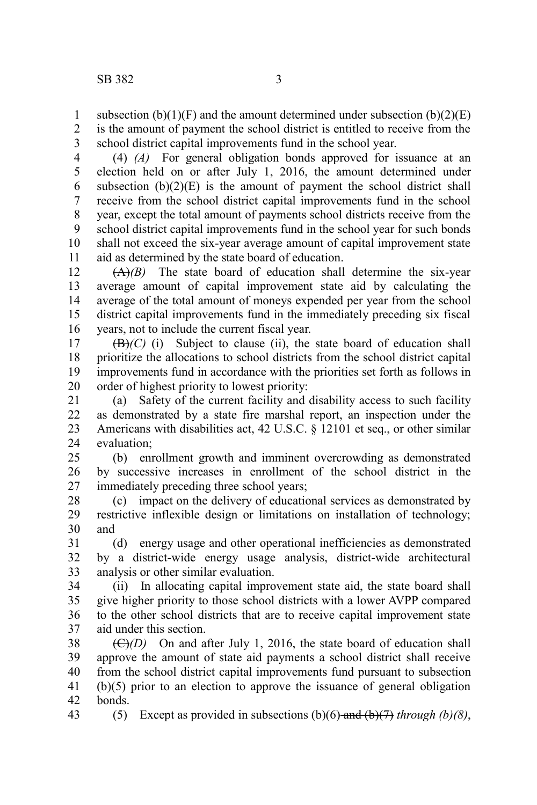subsection  $(b)(1)(F)$  and the amount determined under subsection  $(b)(2)(E)$ is the amount of payment the school district is entitled to receive from the school district capital improvements fund in the school year. 1 2 3

(4) *(A)* For general obligation bonds approved for issuance at an election held on or after July 1, 2016, the amount determined under subsection  $(b)(2)(E)$  is the amount of payment the school district shall receive from the school district capital improvements fund in the school year, except the total amount of payments school districts receive from the school district capital improvements fund in the school year for such bonds shall not exceed the six-year average amount of capital improvement state aid as determined by the state board of education. 4 5 6 7 8 9 10 11

(A)*(B)* The state board of education shall determine the six-year average amount of capital improvement state aid by calculating the average of the total amount of moneys expended per year from the school district capital improvements fund in the immediately preceding six fiscal years, not to include the current fiscal year. 12 13 14 15 16

 $(\mathbf{B})/(\mathbf{C})$  (i) Subject to clause (ii), the state board of education shall prioritize the allocations to school districts from the school district capital improvements fund in accordance with the priorities set forth as follows in order of highest priority to lowest priority: 17 18 19 20

(a) Safety of the current facility and disability access to such facility as demonstrated by a state fire marshal report, an inspection under the Americans with disabilities act, 42 U.S.C. § 12101 et seq., or other similar evaluation; 21 22 23 24

(b) enrollment growth and imminent overcrowding as demonstrated by successive increases in enrollment of the school district in the immediately preceding three school years;  $25$ 26 27

(c) impact on the delivery of educational services as demonstrated by restrictive inflexible design or limitations on installation of technology; and 28 29 30

(d) energy usage and other operational inefficiencies as demonstrated by a district-wide energy usage analysis, district-wide architectural analysis or other similar evaluation. 31 32 33

(ii) In allocating capital improvement state aid, the state board shall give higher priority to those school districts with a lower AVPP compared to the other school districts that are to receive capital improvement state aid under this section. 34 35 36 37

 $(\bigoplus/D)$  On and after July 1, 2016, the state board of education shall approve the amount of state aid payments a school district shall receive from the school district capital improvements fund pursuant to subsection (b)(5) prior to an election to approve the issuance of general obligation bonds. 38 39 40 41 42

43

(5) Except as provided in subsections (b)(6) and (b)(7) *through (b)(8)*,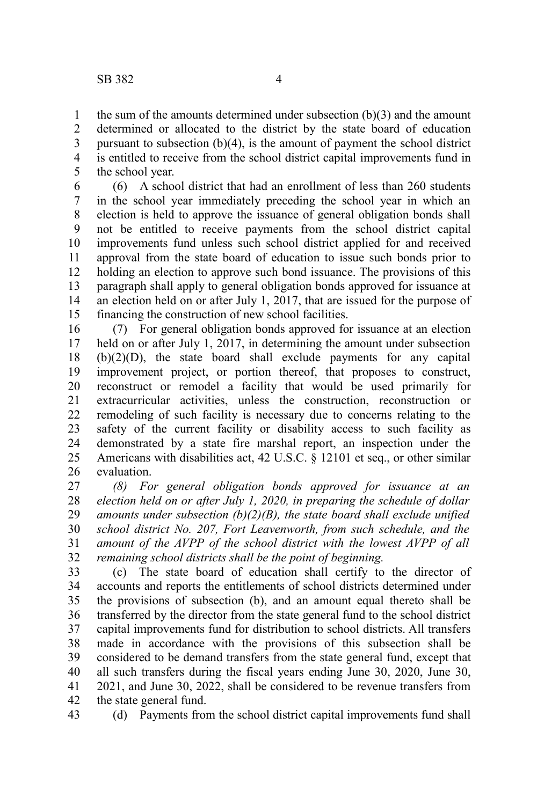43

the sum of the amounts determined under subsection (b)(3) and the amount determined or allocated to the district by the state board of education pursuant to subsection (b)(4), is the amount of payment the school district is entitled to receive from the school district capital improvements fund in the school year. 1 2 3 4 5

(6) A school district that had an enrollment of less than 260 students in the school year immediately preceding the school year in which an election is held to approve the issuance of general obligation bonds shall not be entitled to receive payments from the school district capital improvements fund unless such school district applied for and received approval from the state board of education to issue such bonds prior to holding an election to approve such bond issuance. The provisions of this paragraph shall apply to general obligation bonds approved for issuance at an election held on or after July 1, 2017, that are issued for the purpose of financing the construction of new school facilities. 6 7 8 9 10 11 12 13 14 15

(7) For general obligation bonds approved for issuance at an election held on or after July 1, 2017, in determining the amount under subsection (b)(2)(D), the state board shall exclude payments for any capital improvement project, or portion thereof, that proposes to construct, reconstruct or remodel a facility that would be used primarily for extracurricular activities, unless the construction, reconstruction or remodeling of such facility is necessary due to concerns relating to the safety of the current facility or disability access to such facility as demonstrated by a state fire marshal report, an inspection under the Americans with disabilities act, 42 U.S.C. § 12101 et seq., or other similar evaluation. 16 17 18 19 20 21 22 23 24 25 26

*(8) For general obligation bonds approved for issuance at an election held on or after July 1, 2020, in preparing the schedule of dollar amounts under subsection (b)(2)(B), the state board shall exclude unified school district No. 207, Fort Leavenworth, from such schedule, and the amount of the AVPP of the school district with the lowest AVPP of all remaining school districts shall be the point of beginning.* 27 28 29 30 31 32

(c) The state board of education shall certify to the director of accounts and reports the entitlements of school districts determined under the provisions of subsection (b), and an amount equal thereto shall be transferred by the director from the state general fund to the school district capital improvements fund for distribution to school districts. All transfers made in accordance with the provisions of this subsection shall be considered to be demand transfers from the state general fund, except that all such transfers during the fiscal years ending June 30, 2020, June 30, 2021, and June 30, 2022, shall be considered to be revenue transfers from the state general fund. 33 34 35 36 37 38 39 40 41 42

(d) Payments from the school district capital improvements fund shall